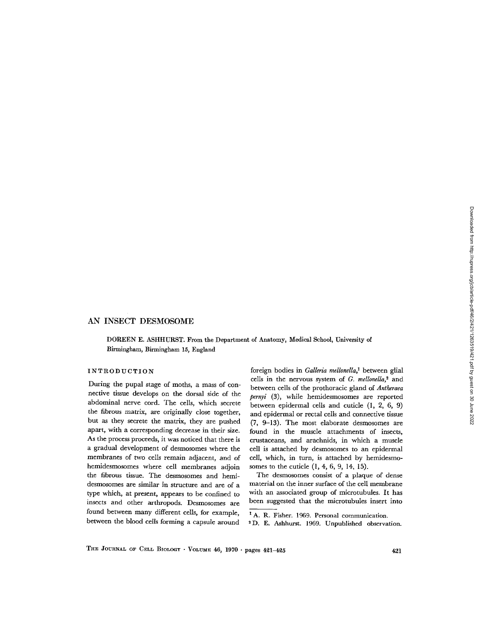# AN INSECT DESMOSOME

DOREEN E . ASHHURST . From the Department of Anatomy, Medical School, University of Birmingham, Birmingham 15, England

## INTRODUCTION

During the pupal stage of moths, a mass of connective tissue develops on the dorsal side of the abdominal nerve cord. The cells, which secrete the fibrous matrix, are originally close together, but as they secrete the matrix, they are pushed apart, with a corresponding decrease in their size. As the process proceeds, it was noticed that there is a gradual development of desmosomes where the membranes of two cells remain adjacent, and of hemidesmosomes where cell membranes adjoin the fibrous tissue. The desmosomes and hemidesmosomes are similar in structure and are of a type which, at present, appears to be confined to insects and other arthropods. Desmosomes are found between many different cells, for example, between the blood cells forming a capsule around

foreign bodies in Galleria mellonella,' between glial cells in the nervous system of  $G$ . mellonella,<sup>2</sup> and between cells of the prothoracic gland of Antheraea pernyi (3), while hemidesmosomes are reported between epidermal cells and cuticle (1, 2, 6, 9) and epidermal or rectal cells and connective tissue (7, 9-13) . The most elaborate desmosomes are found in the muscle attachments of insects, crustaceans, and arachnids, in which a muscle cell is attached by desmosomes to an epidermal cell, which, in turn, is attached by hemidesmosomes to the cuticle  $(1, 4, 6, 9, 14, 15)$ .

The desmosomes consist of a plaque of dense material on the inner surface of the cell membrane with an associated group of microtubules. It has been suggested that the microtubules insert into

<sup>2</sup> D. E. Ashhurst. 1969. Unpublished observation.

THE JOURNAL OF CELL BIOLOGY . VOLUME 46, 1970 . pages 421-425

<sup>&</sup>lt;sup>1</sup> A. R. Fisher. 1969. Personal communication.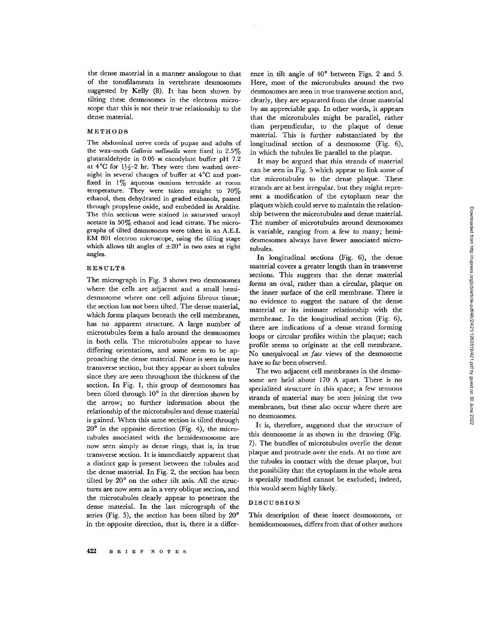the dense material in a manner analogous to that of the tonofilaments in vertebrate desmosomes suggested by Kelly (8). It has been shown by tilting these desmosomes in the electron microscope that this is not their true relationship to the dense material.

## METHODS

The abdominal nerve cords of pupae and adults of the wax-moth Galleria mellonella were fixed in  $2.5\%$ glutaraldehyde in 0.05 M cacodylate buffer pH 7.2 at  $4^{\circ}$ C for  $1\frac{1}{2}$  hr. They were then washed overnight in several changes of buffer at 4°C and postfixed in  $1\%$  aqueous osmium tetroxide at room temperature. They were taken straight to 70% ethanol, then dehydrated in graded ethanols, passed through propylene oxide, and embedded in Araldite. The thin sections were stained in saturated uranyl acetate in  $50\%$  ethanol and lead citrate. The micrographs of tilted desmosomes were taken in an A.E.I. EM 801 electron microscope, using the tilting stage which allows tilt angles of  $\pm 20^{\circ}$  in two axes at right angles.

# RESULTS

The micrograph in Fig. 3 shows two desmosomes where the cells are adjacent and a small hemidesmosome where one cell adjoins fibrous tissue ; the section has not been tilted. The dense material, which forms plaques beneath the cell membranes, has no apparent structure. A large number of microtubules form a halo around the desmosomes in both cells. The microtubules appear to have differing orientations, and some seem to be approaching the dense material. None is seen in true transverse section, but they appear as short tubules since they are seen throughout the thickness of the section. In Fig. 1, this group of desmosomes has been tilted through  $10^{\circ}$  in the direction shown by the arrow; no further information about the relationship of the microtubules and dense material is gained. When this same section is tilted through  $20^{\circ}$  in the opposite direction (Fig. 4), the microtubules associated with the hemidesmosome are now seen simply as dense rings, that is, in true transverse section. It is immediately apparent that a distinct gap is present between the tubules and the dense material. In Fig. 2, the section has been tilted by  $20^{\circ}$  on the other tilt axis. All the structures are now seen as in a very oblique section, and the microtubules clearly appear to penetrate the dense material. In the last micrograph of the series (Fig. 5), the section has been tilted by  $20^{\circ}$ in the opposite direction, that is, there is a differ-

ence in tilt angle of  $40^{\circ}$  between Figs. 2 and 5. Here, most of the microtubules around the two desmosomes are seen in true transverse section and, clearly, they are separated from the dense material by an appreciable gap. In other words, it appears that the microtubules might be parallel, rather than perpendicular, to the plaque of dense material. This is further substantiated by the longitudinal section of a desmosome (Fig. 6), in which the tubules lie parallel to the plaque.

It may be argued that thin strands of material can be seen in Fig. 5 which appear to link some of the microtubules to the dense plaque. These strands are at best irregular, but they might represent a modification of the cytoplasm near the plaques which could serve to maintain the relationship between the microtubules and dense material . The number of microtubules around desmosomes is variable, ranging from a few to many; hemidesmosomes always have fewer associated microtubules.

In longitudinal sections (Fig.  $6$ ), the dense material covers a greater length than in transverse sections. This suggests that the dense material forms an oval, rather than a circular, plaque on the inner surface of the cell membrane. There is no evidence to suggest the nature of the dense material or its intimate relationship with the membrane. In the longitudinal section (Fig. 6), there are indications of a dense strand forming loops or circular profiles within the plaque; each profile seems to originate at the cell membrane. No unequivocal en face views of the desmosome have so far been observed .

The two adjacent cell membranes in the desmosome are held about 170 A apart. There is no specialized structure in this space; a few tenuous strands of material may be seen joining the two membranes, but these also occur where there are no desmosomes.

It is, therefore, suggested that the structure of this desmosome is as shown in the drawing (Fig. 7). The bundles of microtubules overlie the dense plaque and protrude over the ends . At no time are the tubules in contact with the dense plaque, but the possibility that the cytoplasm in the whole area is specially modified cannot be excluded; indeed, this would seem highly likely.

### DISCUSSION

This description of these insect desmosomes, or hemidesmosomes, differs from that of other authors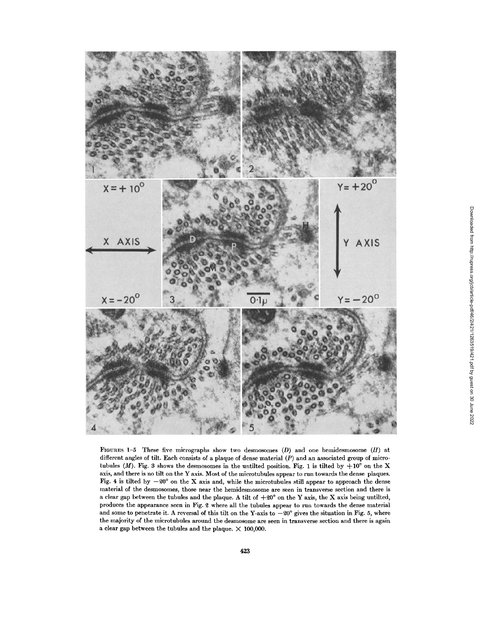

FIGURES 1-5 These five micrographs show two desmosomes (D) and one hemidesmosome (H) at different angles of tilt. Each consists of a plaque of dense material  $(P)$  and an associated group of microtubules (M). Fig. 3 shows the desmosomes in the untilted position. Fig. 1 is tilted by  $+10^{\circ}$  on the X axis, and there is no tilt on the Y axis . Most of the microtubules appear to run towards the dense plaques. Fig. 4 is tilted by  $-20^{\circ}$  on the X axis and, while the microtubules still appear to approach the dense material of the desmosomes, those near the hemidesmosome are seen in transverse section and there is a clear gap between the tubules and the plaque . A tilt of +20° on the Y axis, the X axis being untilted, produces the appearance seen in Fig. 2 where all the tubules appear to run towards the dense material and some to penetrate it. A reversal of this tilt on the Y-axis to  $-20^{\circ}$  gives the situation in Fig. 5, where the majority of the microtubules around the desmosome are seen in transverse section and there is again a clear gap between the tubules and the plaque.  $\times$  100,000.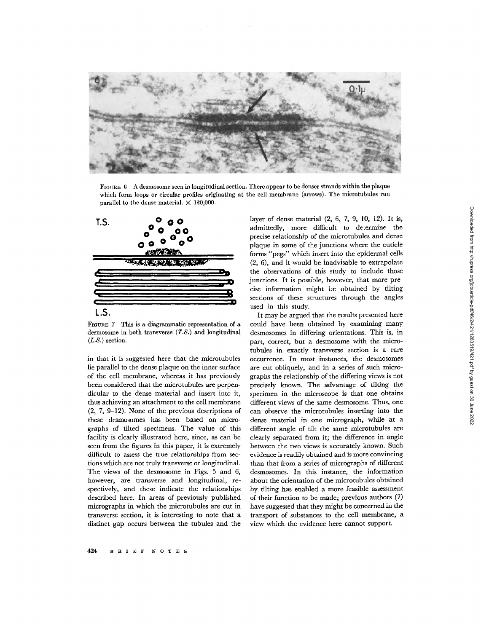

FIGURE 6 A desmosome seen in longitudinal section . There appear to be denser strands within the plaque which form loops or circular profiles originating at the cell membrane (arrows) . The microtubules run parallel to the dense material.  $\times$  120,000.



FIGURE 7 This is a diagrammatic representation of a desmosome in both transverse (T.S.) and longitudinal  $(L.S.)$  section.

in that it is suggested here that the microtubules lie parallel to the dense plaque on the inner surface of the cell membrane, whereas it has previously been considered that the microtubules are perpendicular to the dense material and insert into it, thus achieving an attachment to the cell membrane (2, 7, 9-12) . None of the previous descriptions of these desmosomes has been based on micrographs of tilted specimens. The value of this facility is clearly illustrated here, since, as can be seen from the figures in this paper, it is extremely difficult to assess the true relationships from sections which are not truly transverse or longitudinal . The views of the desmosome in Figs. 5 and 6, however, are transverse and longitudinal, respectively, and these indicate the relationships described here. In areas of previously published micrographs in which the microtubules are cut in transverse section, it is interesting to note that a distinct gap occurs between the tubules and the layer of dense material (2, 6, 7, 9, 10, 12) . It is, admittedly, more difficult to determine the precise relationship of the microtubules and dense plaque in some of the junctions where the cuticle forms "pegs" which insert into the epidermal cells (2, 6), and it would be inadvisable to extrapolate the observations of this study to include those junctions. It is possible, however, that more precise information might be obtained by tilting sections of these structures through the angles used in this study.

It may be argued that the results presented here could have been obtained by examining many desmosomes in differing orientations . This is, in part, correct, but a desmosome with the microtubules in exactly transverse section is a rare occurrence . In most instances, the desmosomes are cut obliquely, and in a series of such micrographs the relationship of the differing views is not precisely known . The advantage of tilting the specimen in the microscope is that one obtains different views of the same desmosome. Thus, one can observe the microtubules inserting into the dense material in one micrograph, while at a different angle of tilt the same microtubules are clearly separated from it; the difference in angle between the two views is accurately known. Such evidence is readily obtained and is more convincing than that from a series of micrographs of different desmosomes . In this instance, the information about the orientation of the microtubules obtained by tilting has enabled a more feasible assessment of their function to be made; previous authors  $(7)$ have suggested that they might be concerned in the transport of substances to the cell membrane, a view which the evidence here cannot support.